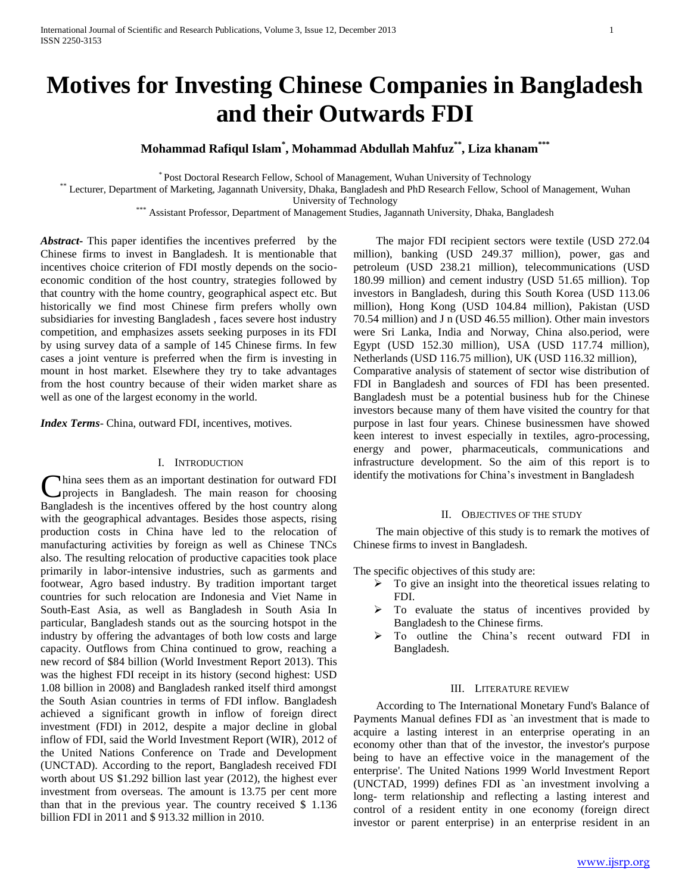# **Motives for Investing Chinese Companies in Bangladesh and their Outwards FDI**

## **Mohammad Rafiqul Islam\* , Mohammad Abdullah Mahfuz\*\* , Liza khanam\*\*\***

\* Post Doctoral Research Fellow, School of Management, Wuhan University of Technology

\*\* Lecturer, Department of Marketing, Jagannath University, Dhaka, Bangladesh and PhD Research Fellow, School of Management, Wuhan

University of Technology

\*\*\* Assistant Professor, Department of Management Studies, Jagannath University, Dhaka, Bangladesh

Abstract - This paper identifies the incentives preferred by the Chinese firms to invest in Bangladesh. It is mentionable that incentives choice criterion of FDI mostly depends on the socioeconomic condition of the host country, strategies followed by that country with the home country, geographical aspect etc. But historically we find most Chinese firm prefers wholly own subsidiaries for investing Bangladesh , faces severe host industry competition, and emphasizes assets seeking purposes in its FDI by using survey data of a sample of 145 Chinese firms. In few cases a joint venture is preferred when the firm is investing in mount in host market. Elsewhere they try to take advantages from the host country because of their widen market share as well as one of the largest economy in the world.

*Index Terms*- China, outward FDI, incentives, motives.

#### I. INTRODUCTION

hina sees them as an important destination for outward FDI projects in Bangladesh. The main reason for choosing China sees them as an important destination for outward FDI<br>projects in Bangladesh. The main reason for choosing<br>Bangladesh is the incentives offered by the host country along with the geographical advantages. Besides those aspects, rising production costs in China have led to the relocation of manufacturing activities by foreign as well as Chinese TNCs also. The resulting relocation of productive capacities took place primarily in labor-intensive industries, such as garments and footwear, Agro based industry. By tradition important target countries for such relocation are Indonesia and Viet Name in South-East Asia, as well as Bangladesh in South Asia In particular, Bangladesh stands out as the sourcing hotspot in the industry by offering the advantages of both low costs and large capacity. Outflows from China continued to grow, reaching a new record of \$84 billion (World Investment Report 2013). This was the highest FDI receipt in its history (second highest: USD 1.08 billion in 2008) and Bangladesh ranked itself third amongst the South Asian countries in terms of FDI inflow. Bangladesh achieved a significant growth in inflow of foreign direct investment (FDI) in 2012, despite a major decline in global inflow of FDI, said the World Investment Report (WIR), 2012 of the United Nations Conference on Trade and Development (UNCTAD). According to the report, Bangladesh received FDI worth about US \$1.292 billion last year (2012), the highest ever investment from overseas. The amount is 13.75 per cent more than that in the previous year. The country received \$ 1.136 billion FDI in 2011 and \$ 913.32 million in 2010.

 The major FDI recipient sectors were textile (USD 272.04 million), banking (USD 249.37 million), power, gas and petroleum (USD 238.21 million), telecommunications (USD 180.99 million) and cement industry (USD 51.65 million). Top investors in Bangladesh, during this South Korea (USD 113.06 million), Hong Kong (USD 104.84 million), Pakistan (USD 70.54 million) and J n (USD 46.55 million). Other main investors were Sri Lanka, India and Norway, China also.period, were Egypt (USD 152.30 million), USA (USD 117.74 million), Netherlands (USD 116.75 million), UK (USD 116.32 million), Comparative analysis of statement of sector wise distribution of FDI in Bangladesh and sources of FDI has been presented. Bangladesh must be a potential business hub for the Chinese investors because many of them have visited the country for that purpose in last four years. Chinese businessmen have showed keen interest to invest especially in textiles, agro-processing, energy and power, pharmaceuticals, communications and infrastructure development. So the aim of this report is to identify the motivations for China's investment in Bangladesh

#### II. OBJECTIVES OF THE STUDY

 The main objective of this study is to remark the motives of Chinese firms to invest in Bangladesh.

The specific objectives of this study are:

- $\triangleright$  To give an insight into the theoretical issues relating to FDI.
- $\triangleright$  To evaluate the status of incentives provided by Bangladesh to the Chinese firms.
- > To outline the China's recent outward FDI in Bangladesh.

#### III. LITERATURE REVIEW

 According to The International Monetary Fund's Balance of Payments Manual defines FDI as `an investment that is made to acquire a lasting interest in an enterprise operating in an economy other than that of the investor, the investor's purpose being to have an effective voice in the management of the enterprise'. The United Nations 1999 World Investment Report (UNCTAD, 1999) defines FDI as `an investment involving a long- term relationship and reflecting a lasting interest and control of a resident entity in one economy (foreign direct investor or parent enterprise) in an enterprise resident in an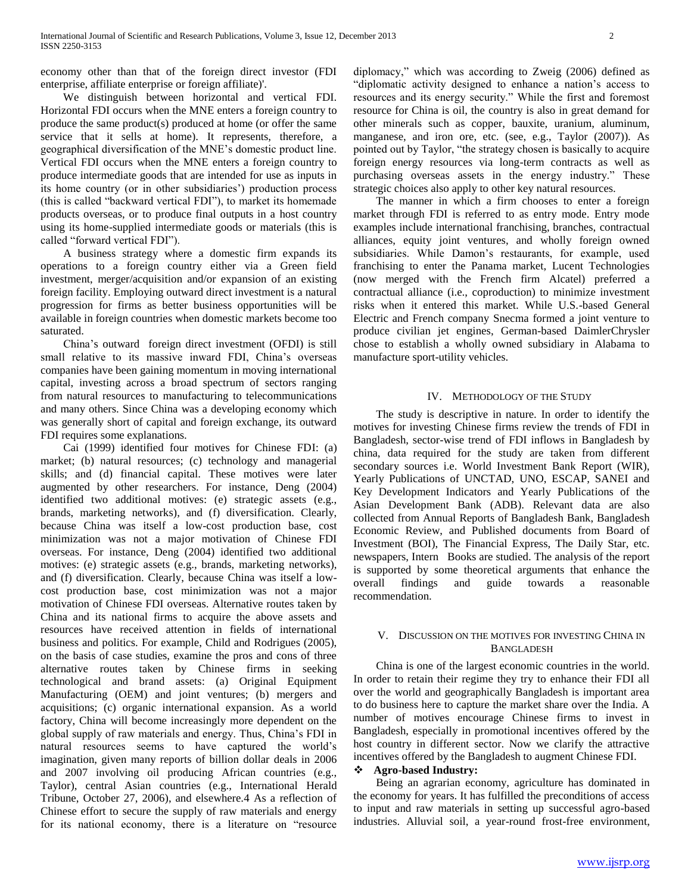economy other than that of the foreign direct investor (FDI enterprise, affiliate enterprise or foreign affiliate)'.

 We distinguish between horizontal and vertical FDI. Horizontal FDI occurs when the MNE enters a foreign country to produce the same product(s) produced at home (or offer the same service that it sells at home). It represents, therefore, a geographical diversification of the MNE's domestic product line. Vertical FDI occurs when the MNE enters a foreign country to produce intermediate goods that are intended for use as inputs in its home country (or in other subsidiaries') production process (this is called "backward vertical FDI"), to market its homemade products overseas, or to produce final outputs in a host country using its home-supplied intermediate goods or materials (this is called "forward vertical FDI").

 A business strategy where a domestic firm expands its operations to a foreign country either via a Green field investment, merger/acquisition and/or expansion of an existing foreign facility. Employing outward direct investment is a natural progression for firms as better business opportunities will be available in foreign countries when domestic markets become too saturated.

 China's outward foreign direct investment (OFDI) is still small relative to its massive inward FDI, China's overseas companies have been gaining momentum in moving international capital, investing across a broad spectrum of sectors ranging from natural resources to manufacturing to telecommunications and many others. Since China was a developing economy which was generally short of capital and foreign exchange, its outward FDI requires some explanations.

 Cai (1999) identified four motives for Chinese FDI: (a) market; (b) natural resources; (c) technology and managerial skills; and (d) financial capital. These motives were later augmented by other researchers. For instance, Deng (2004) identified two additional motives: (e) strategic assets (e.g., brands, marketing networks), and (f) diversification. Clearly, because China was itself a low-cost production base, cost minimization was not a major motivation of Chinese FDI overseas. For instance, Deng (2004) identified two additional motives: (e) strategic assets (e.g., brands, marketing networks), and (f) diversification. Clearly, because China was itself a lowcost production base, cost minimization was not a major motivation of Chinese FDI overseas. Alternative routes taken by China and its national firms to acquire the above assets and resources have received attention in fields of international business and politics. For example, Child and Rodrigues (2005), on the basis of case studies, examine the pros and cons of three alternative routes taken by Chinese firms in seeking technological and brand assets: (a) Original Equipment Manufacturing (OEM) and joint ventures; (b) mergers and acquisitions; (c) organic international expansion. As a world factory, China will become increasingly more dependent on the global supply of raw materials and energy. Thus, China's FDI in natural resources seems to have captured the world's imagination, given many reports of billion dollar deals in 2006 and 2007 involving oil producing African countries (e.g., Taylor), central Asian countries (e.g., International Herald Tribune, October 27, 2006), and elsewhere.4 As a reflection of Chinese effort to secure the supply of raw materials and energy for its national economy, there is a literature on "resource diplomacy," which was according to Zweig (2006) defined as "diplomatic activity designed to enhance a nation's access to resources and its energy security." While the first and foremost resource for China is oil, the country is also in great demand for other minerals such as copper, bauxite, uranium, aluminum, manganese, and iron ore, etc. (see, e.g., Taylor (2007)). As pointed out by Taylor, "the strategy chosen is basically to acquire foreign energy resources via long-term contracts as well as purchasing overseas assets in the energy industry." These strategic choices also apply to other key natural resources.

 The manner in which a firm chooses to enter a foreign market through FDI is referred to as entry mode. Entry mode examples include international franchising, branches, contractual alliances, equity joint ventures, and wholly foreign owned subsidiaries. While Damon's restaurants, for example, used franchising to enter the Panama market, Lucent Technologies (now merged with the French firm Alcatel) preferred a contractual alliance (i.e., coproduction) to minimize investment risks when it entered this market. While U.S.-based General Electric and French company Snecma formed a joint venture to produce civilian jet engines, German-based DaimlerChrysler chose to establish a wholly owned subsidiary in Alabama to manufacture sport-utility vehicles.

#### IV. METHODOLOGY OF THE STUDY

 The study is descriptive in nature. In order to identify the motives for investing Chinese firms review the trends of FDI in Bangladesh, sector-wise trend of FDI inflows in Bangladesh by china, data required for the study are taken from different secondary sources i.e. World Investment Bank Report (WIR), Yearly Publications of UNCTAD, UNO, ESCAP, SANEI and Key Development Indicators and Yearly Publications of the Asian Development Bank (ADB). Relevant data are also collected from Annual Reports of Bangladesh Bank, Bangladesh Economic Review, and Published documents from Board of Investment (BOI), The Financial Express, The Daily Star, etc. newspapers, Intern Books are studied. The analysis of the report is supported by some theoretical arguments that enhance the overall findings and guide towards a reasonable recommendation.

#### V. DISCUSSION ON THE MOTIVES FOR INVESTING CHINA IN BANGLADESH

 China is one of the largest economic countries in the world. In order to retain their regime they try to enhance their FDI all over the world and geographically Bangladesh is important area to do business here to capture the market share over the India. A number of motives encourage Chinese firms to invest in Bangladesh, especially in promotional incentives offered by the host country in different sector. Now we clarify the attractive incentives offered by the Bangladesh to augment Chinese FDI.

## **Agro-based Industry:**

 Being an agrarian economy, agriculture has dominated in the economy for years. It has fulfilled the preconditions of access to input and raw materials in setting up successful agro-based industries. Alluvial soil, a year-round frost-free environment,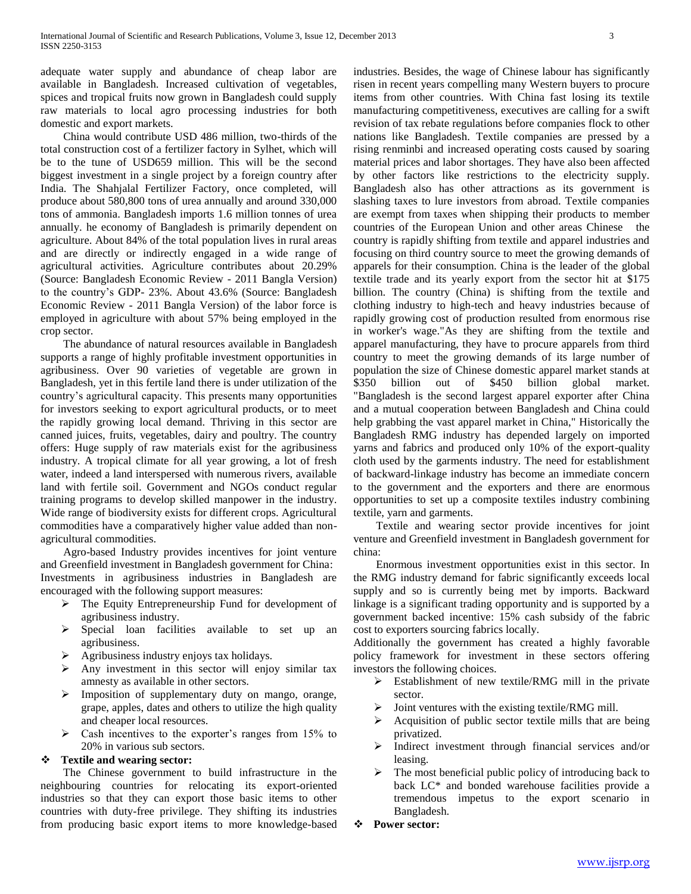adequate water supply and abundance of cheap labor are available in Bangladesh. Increased cultivation of vegetables, spices and tropical fruits now grown in Bangladesh could supply raw materials to local agro processing industries for both domestic and export markets.

 China would contribute USD 486 million, two-thirds of the total construction cost of a fertilizer factory in Sylhet, which will be to the tune of USD659 million. This will be the second biggest investment in a single project by a foreign country after India. The Shahjalal Fertilizer Factory, once completed, will produce about 580,800 tons of urea annually and around 330,000 tons of ammonia. Bangladesh imports 1.6 million tonnes of urea annually. he economy of Bangladesh is primarily dependent on agriculture. About 84% of the total population lives in rural areas and are directly or indirectly engaged in a wide range of agricultural activities. Agriculture contributes about 20.29% (Source: Bangladesh Economic Review - 2011 Bangla Version) to the country's GDP- 23%. About 43.6% (Source: Bangladesh Economic Review - 2011 Bangla Version) of the labor force is employed in agriculture with about 57% being employed in the crop sector.

 The abundance of natural resources available in Bangladesh supports a range of highly profitable investment opportunities in agribusiness. Over 90 varieties of vegetable are grown in Bangladesh, yet in this fertile land there is under utilization of the country's agricultural capacity. This presents many opportunities for investors seeking to export agricultural products, or to meet the rapidly growing local demand. Thriving in this sector are canned juices, fruits, vegetables, dairy and poultry. The country offers: Huge supply of raw materials exist for the agribusiness industry. A tropical climate for all year growing, a lot of fresh water, indeed a land interspersed with numerous rivers, available land with fertile soil. Government and NGOs conduct regular training programs to develop skilled manpower in the industry. Wide range of biodiversity exists for different crops. Agricultural commodities have a comparatively higher value added than nonagricultural commodities.

 Agro-based Industry provides incentives for joint venture and Greenfield investment in Bangladesh government for China: Investments in agribusiness industries in Bangladesh are encouraged with the following support measures:

- > The Equity Entrepreneurship Fund for development of agribusiness industry.
- Special loan facilities available to set up an agribusiness.
- Agribusiness industry enjoys tax holidays.
- $\triangleright$  Any investment in this sector will enjoy similar tax amnesty as available in other sectors.
- > Imposition of supplementary duty on mango, orange, grape, apples, dates and others to utilize the high quality and cheaper local resources.
- $\triangleright$  Cash incentives to the exporter's ranges from 15% to 20% in various sub sectors.

#### **Textile and wearing sector:**

 The Chinese government to build infrastructure in the neighbouring countries for relocating its export-oriented industries so that they can export those basic items to other countries with duty-free privilege. They shifting its industries from producing basic export items to more knowledge-based industries. Besides, the wage of Chinese labour has significantly risen in recent years compelling many Western buyers to procure items from other countries. With China fast losing its textile manufacturing competitiveness, executives are calling for a swift revision of tax rebate regulations before companies flock to other nations like Bangladesh. Textile companies are pressed by a rising renminbi and increased operating costs caused by soaring material prices and labor shortages. They have also been affected by other factors like restrictions to the electricity supply. Bangladesh also has other attractions as its government is slashing taxes to lure investors from abroad. Textile companies are exempt from taxes when shipping their products to member countries of the European Union and other areas Chinese the country is rapidly shifting from textile and apparel industries and focusing on third country source to meet the growing demands of apparels for their consumption. China is the leader of the global textile trade and its yearly export from the sector hit at \$175 billion. The country (China) is shifting from the textile and clothing industry to high-tech and heavy industries because of rapidly growing cost of production resulted from enormous rise in worker's wage."As they are shifting from the textile and apparel manufacturing, they have to procure apparels from third country to meet the growing demands of its large number of population the size of Chinese domestic apparel market stands at \$350 billion out of \$450 billion global market. "Bangladesh is the second largest apparel exporter after China and a mutual cooperation between Bangladesh and China could help grabbing the vast apparel market in China," Historically the Bangladesh RMG industry has depended largely on imported yarns and fabrics and produced only 10% of the export-quality cloth used by the garments industry. The need for establishment of backward-linkage industry has become an immediate concern to the government and the exporters and there are enormous opportunities to set up a composite textiles industry combining textile, yarn and garments.

 Textile and wearing sector provide incentives for joint venture and Greenfield investment in Bangladesh government for china:

 Enormous investment opportunities exist in this sector. In the RMG industry demand for fabric significantly exceeds local supply and so is currently being met by imports. Backward linkage is a significant trading opportunity and is supported by a government backed incentive: 15% cash subsidy of the fabric cost to exporters sourcing fabrics locally.

Additionally the government has created a highly favorable policy framework for investment in these sectors offering investors the following choices.

- $\triangleright$  Establishment of new textile/RMG mill in the private sector.
- $\triangleright$  Joint ventures with the existing textile/RMG mill.
- $\triangleright$  Acquisition of public sector textile mills that are being privatized.
- Indirect investment through financial services and/or leasing.
- $\triangleright$  The most beneficial public policy of introducing back to back LC\* and bonded warehouse facilities provide a tremendous impetus to the export scenario in Bangladesh.
- **Power sector:**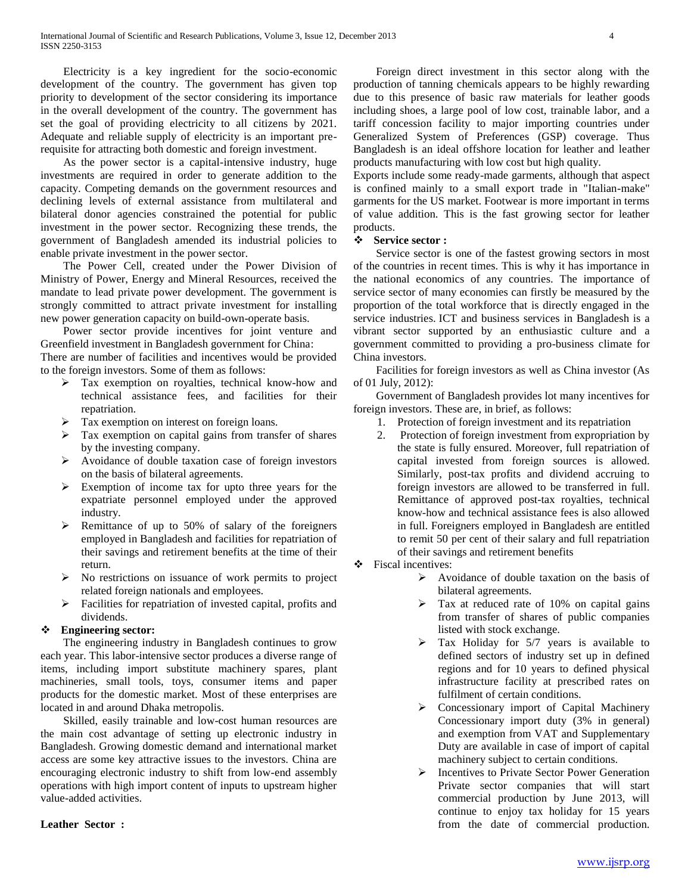Electricity is a key ingredient for the socio-economic development of the country. The government has given top priority to development of the sector considering its importance in the overall development of the country. The government has set the goal of providing electricity to all citizens by 2021. Adequate and reliable supply of electricity is an important prerequisite for attracting both domestic and foreign investment.

 As the power sector is a capital-intensive industry, huge investments are required in order to generate addition to the capacity. Competing demands on the government resources and declining levels of external assistance from multilateral and bilateral donor agencies constrained the potential for public investment in the power sector. Recognizing these trends, the government of Bangladesh amended its industrial policies to enable private investment in the power sector.

 The Power Cell, created under the Power Division of Ministry of Power, Energy and Mineral Resources, received the mandate to lead private power development. The government is strongly committed to attract private investment for installing new power generation capacity on build-own-operate basis.

 Power sector provide incentives for joint venture and Greenfield investment in Bangladesh government for China:

There are number of facilities and incentives would be provided to the foreign investors. Some of them as follows:

- Tax exemption on royalties, technical know-how and technical assistance fees, and facilities for their repatriation.
- Tax exemption on interest on foreign loans.
- $\triangleright$  Tax exemption on capital gains from transfer of shares by the investing company.
- Avoidance of double taxation case of foreign investors on the basis of bilateral agreements.
- Exemption of income tax for upto three years for the expatriate personnel employed under the approved industry.
- $\triangleright$  Remittance of up to 50% of salary of the foreigners employed in Bangladesh and facilities for repatriation of their savings and retirement benefits at the time of their return.
- $\triangleright$  No restrictions on issuance of work permits to project related foreign nationals and employees.
- $\triangleright$  Facilities for repatriation of invested capital, profits and dividends.

## **Engineering sector:**

 The engineering industry in Bangladesh continues to grow each year. This labor-intensive sector produces a diverse range of items, including import substitute machinery spares, plant machineries, small tools, toys, consumer items and paper products for the domestic market. Most of these enterprises are located in and around Dhaka metropolis.

 Skilled, easily trainable and low-cost human resources are the main cost advantage of setting up electronic industry in Bangladesh. Growing domestic demand and international market access are some key attractive issues to the investors. China are encouraging electronic industry to shift from low-end assembly operations with high import content of inputs to upstream higher value-added activities.

**Leather Sector :**

 Foreign direct investment in this sector along with the production of tanning chemicals appears to be highly rewarding due to this presence of basic raw materials for leather goods including shoes, a large pool of low cost, trainable labor, and a tariff concession facility to major importing countries under Generalized System of Preferences (GSP) coverage. Thus Bangladesh is an ideal offshore location for leather and leather products manufacturing with low cost but high quality.

Exports include some ready-made garments, although that aspect is confined mainly to a small export trade in "Italian-make" garments for the US market. Footwear is more important in terms of value addition. This is the fast growing sector for leather products.

## **Service sector :**

 Service sector is one of the fastest growing sectors in most of the countries in recent times. This is why it has importance in the national economics of any countries. The importance of service sector of many economies can firstly be measured by the proportion of the total workforce that is directly engaged in the service industries. ICT and business services in Bangladesh is a vibrant sector supported by an enthusiastic culture and a government committed to providing a pro-business climate for China investors.

 Facilities for foreign investors as well as China investor (As of 01 July, 2012):

 Government of Bangladesh provides lot many incentives for foreign investors. These are, in brief, as follows:

- 1. Protection of foreign investment and its repatriation
- 2. Protection of foreign investment from expropriation by the state is fully ensured. Moreover, full repatriation of capital invested from foreign sources is allowed. Similarly, post-tax profits and dividend accruing to foreign investors are allowed to be transferred in full. Remittance of approved post-tax royalties, technical know-how and technical assistance fees is also allowed in full. Foreigners employed in Bangladesh are entitled to remit 50 per cent of their salary and full repatriation of their savings and retirement benefits
- Fiscal incentives:
	- $\triangleright$  Avoidance of double taxation on the basis of bilateral agreements.
	- $\triangleright$  Tax at reduced rate of 10% on capital gains from transfer of shares of public companies listed with stock exchange.
	- $\triangleright$  Tax Holiday for 5/7 years is available to defined sectors of industry set up in defined regions and for 10 years to defined physical infrastructure facility at prescribed rates on fulfilment of certain conditions.
	- Concessionary import of Capital Machinery Concessionary import duty (3% in general) and exemption from VAT and Supplementary Duty are available in case of import of capital machinery subject to certain conditions.
	- $\triangleright$  Incentives to Private Sector Power Generation Private sector companies that will start commercial production by June 2013, will continue to enjoy tax holiday for 15 years from the date of commercial production.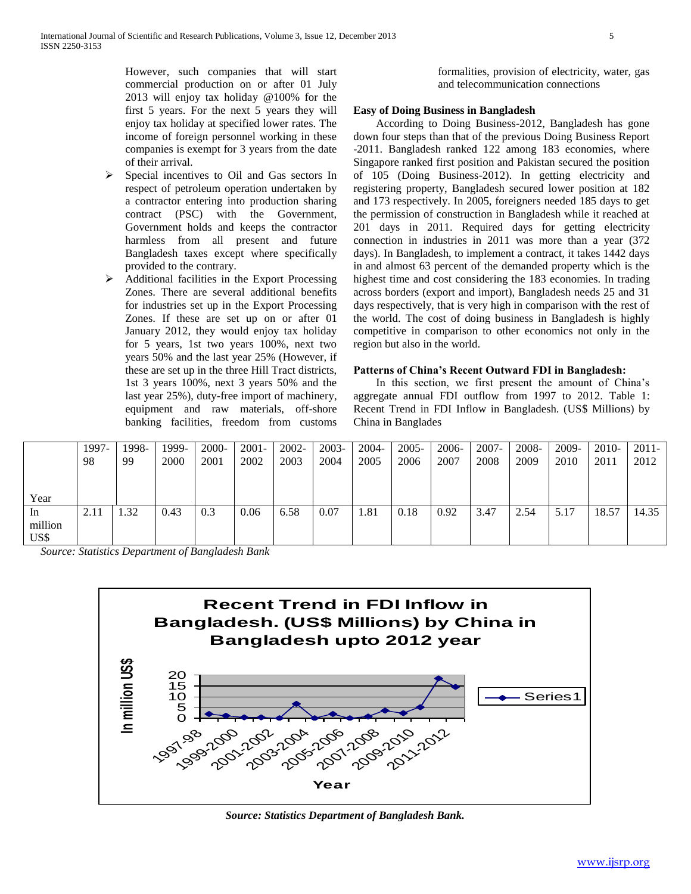However, such companies that will start commercial production on or after 01 July 2013 will enjoy tax holiday @100% for the first 5 years. For the next 5 years they will enjoy tax holiday at specified lower rates. The income of foreign personnel working in these companies is exempt for 3 years from the date of their arrival.

- $\triangleright$  Special incentives to Oil and Gas sectors In respect of petroleum operation undertaken by a contractor entering into production sharing contract (PSC) with the Government, Government holds and keeps the contractor harmless from all present and future Bangladesh taxes except where specifically provided to the contrary.
- $\triangleright$  Additional facilities in the Export Processing Zones. There are several additional benefits for industries set up in the Export Processing Zones. If these are set up on or after 01 January 2012, they would enjoy tax holiday for 5 years, 1st two years 100%, next two years 50% and the last year 25% (However, if these are set up in the three Hill Tract districts, 1st 3 years 100%, next 3 years 50% and the last year 25%), duty-free import of machinery, equipment and raw materials, off-shore banking facilities, freedom from customs

formalities, provision of electricity, water, gas and telecommunication connections

## **Easy of Doing Business in Bangladesh**

 According to Doing Business-2012, Bangladesh has gone down four steps than that of the previous Doing Business Report -2011. Bangladesh ranked 122 among 183 economies, where Singapore ranked first position and Pakistan secured the position of 105 (Doing Business-2012). In getting electricity and registering property, Bangladesh secured lower position at 182 and 173 respectively. In 2005, foreigners needed 185 days to get the permission of construction in Bangladesh while it reached at 201 days in 2011. Required days for getting electricity connection in industries in 2011 was more than a year (372 days). In Bangladesh, to implement a contract, it takes 1442 days in and almost 63 percent of the demanded property which is the highest time and cost considering the 183 economies. In trading across borders (export and import), Bangladesh needs 25 and 31 days respectively, that is very high in comparison with the rest of the world. The cost of doing business in Bangladesh is highly competitive in comparison to other economics not only in the region but also in the world.

#### **Patterns of China's Recent Outward FDI in Bangladesh:**

 In this section, we first present the amount of China's aggregate annual FDI outflow from 1997 to 2012. Table 1: Recent Trend in FDI Inflow in Bangladesh. (US\$ Millions) by China in Banglades

|                       | 1997-<br>98 | 1998-<br>99      | 1999-<br>2000 | 2000-<br>2001 | $2001 -$<br>2002 | $2002 -$<br>2003 | $2003 -$<br>2004 | 2004-<br>2005 | $2005 -$<br>2006 | 2006-<br>2007 | $2007 -$<br>2008 | 2008-<br>2009 | 2009-<br>2010 | 2010-<br>2011 | $2011 -$<br>2012 |
|-----------------------|-------------|------------------|---------------|---------------|------------------|------------------|------------------|---------------|------------------|---------------|------------------|---------------|---------------|---------------|------------------|
| Year                  |             |                  |               |               |                  |                  |                  |               |                  |               |                  |               |               |               |                  |
| 1n<br>million<br>US\$ | 2.11        | $\overline{.32}$ | 0.43          | 0.3           | 0.06             | 6.58             | 0.07             | 1.81          | 0.18             | 0.92          | 3.47             | 2.54          | 5.17          | 18.57         | 14.35            |

*Source: Statistics Department of Bangladesh Bank*



*Source: Statistics Department of Bangladesh Bank.*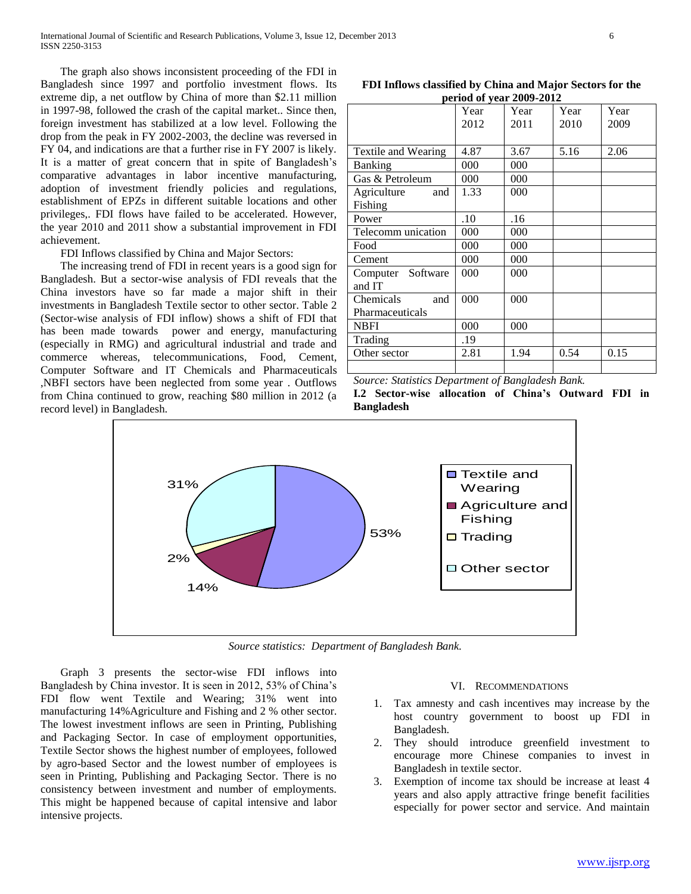The graph also shows inconsistent proceeding of the FDI in Bangladesh since 1997 and portfolio investment flows. Its extreme dip, a net outflow by China of more than \$2.11 million in 1997-98, followed the crash of the capital market.. Since then, foreign investment has stabilized at a low level. Following the drop from the peak in FY 2002-2003, the decline was reversed in FY 04, and indications are that a further rise in FY 2007 is likely. It is a matter of great concern that in spite of Bangladesh's comparative advantages in labor incentive manufacturing, adoption of investment friendly policies and regulations, establishment of EPZs in different suitable locations and other privileges,. FDI flows have failed to be accelerated. However, the year 2010 and 2011 show a substantial improvement in FDI achievement.

FDI Inflows classified by China and Major Sectors:

 The increasing trend of FDI in recent years is a good sign for Bangladesh. But a sector-wise analysis of FDI reveals that the China investors have so far made a major shift in their investments in Bangladesh Textile sector to other sector. Table 2 (Sector-wise analysis of FDI inflow) shows a shift of FDI that has been made towards power and energy, manufacturing (especially in RMG) and agricultural industrial and trade and commerce whereas, telecommunications, Food, Cement, Computer Software and IT Chemicals and Pharmaceuticals ,NBFI sectors have been neglected from some year . Outflows from China continued to grow, reaching \$80 million in 2012 (a record level) in Bangladesh.

**FDI Inflows classified by China and Major Sectors for the period of year 2009-2012**

|                                     | $\mu$ . That is not a set that $\mu$ |              |              |              |  |  |  |  |  |
|-------------------------------------|--------------------------------------|--------------|--------------|--------------|--|--|--|--|--|
|                                     | Year<br>2012                         | Year<br>2011 | Year<br>2010 | Year<br>2009 |  |  |  |  |  |
|                                     |                                      |              |              |              |  |  |  |  |  |
| Textile and Wearing                 | 4.87                                 | 3.67         | 5.16         | 2.06         |  |  |  |  |  |
| <b>Banking</b>                      | 000                                  | 000          |              |              |  |  |  |  |  |
| Gas & Petroleum                     | 000                                  | 000          |              |              |  |  |  |  |  |
| Agriculture<br>and<br>Fishing       | 1.33                                 | 000          |              |              |  |  |  |  |  |
| Power                               | .10                                  | .16          |              |              |  |  |  |  |  |
| Telecomm unication                  | 000                                  | 000          |              |              |  |  |  |  |  |
| Food                                | 000                                  | 000          |              |              |  |  |  |  |  |
| Cement                              | 000                                  | 000          |              |              |  |  |  |  |  |
| Computer Software<br>and IT         | 000                                  | 000          |              |              |  |  |  |  |  |
| Chemicals<br>and<br>Pharmaceuticals | 000                                  | 000          |              |              |  |  |  |  |  |
| <b>NBFI</b>                         | 000                                  | 000          |              |              |  |  |  |  |  |
| Trading                             | .19                                  |              |              |              |  |  |  |  |  |
| Other sector                        | 2.81                                 | 1.94         | 0.54         | 0.15         |  |  |  |  |  |
|                                     |                                      |              |              |              |  |  |  |  |  |

*Source: Statistics Department of Bangladesh Bank.* **I.2 Sector-wise allocation of China's Outward FDI in Bangladesh**



*Source statistics: Department of Bangladesh Bank.*

 Graph 3 presents the sector-wise FDI inflows into Bangladesh by China investor. It is seen in 2012, 53% of China's FDI flow went Textile and Wearing; 31% went into manufacturing 14%Agriculture and Fishing and 2 % other sector. The lowest investment inflows are seen in Printing, Publishing and Packaging Sector. In case of employment opportunities, Textile Sector shows the highest number of employees, followed by agro-based Sector and the lowest number of employees is seen in Printing, Publishing and Packaging Sector. There is no consistency between investment and number of employments. This might be happened because of capital intensive and labor intensive projects.

#### VI. RECOMMENDATIONS

- 1. Tax amnesty and cash incentives may increase by the host country government to boost up FDI in Bangladesh.
- 2. They should introduce greenfield investment to encourage more Chinese companies to invest in Bangladesh in textile sector.
- 3. Exemption of income tax should be increase at least 4 years and also apply attractive fringe benefit facilities especially for power sector and service. And maintain